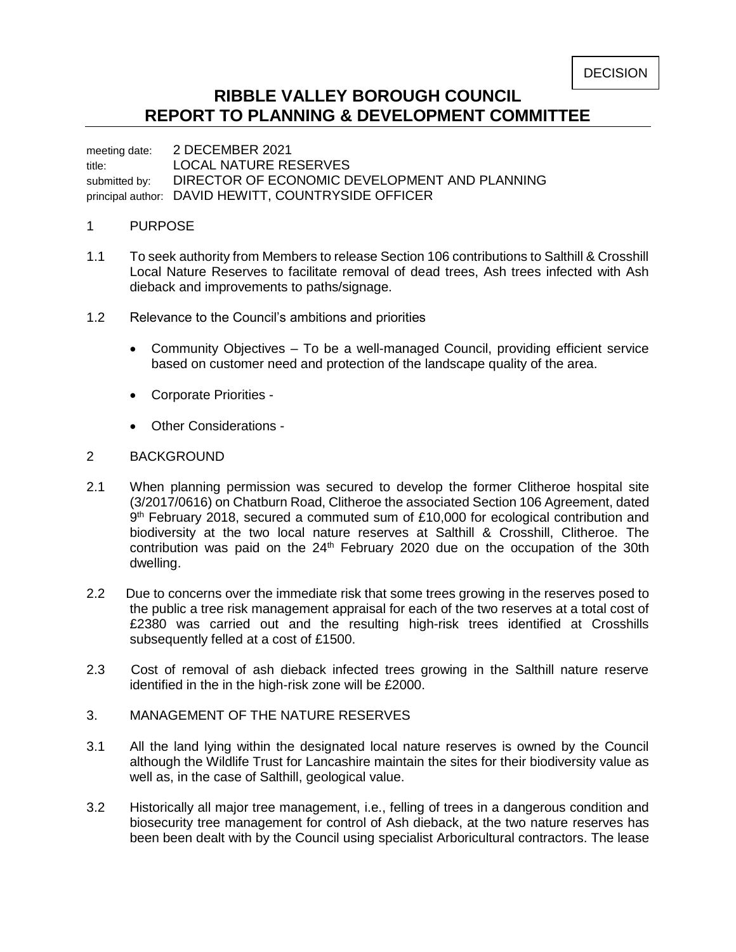## **RIBBLE VALLEY BOROUGH COUNCIL REPORT TO PLANNING & DEVELOPMENT COMMITTEE**

meeting date: 2 DECEMBER 2021 title: LOCAL NATURE RESERVES submitted by: DIRECTOR OF ECONOMIC DEVELOPMENT AND PLANNING principal author: DAVID HEWITT, COUNTRYSIDE OFFICER

## 1 PURPOSE

- 1.1 To seek authority from Members to release Section 106 contributions to Salthill & Crosshill Local Nature Reserves to facilitate removal of dead trees, Ash trees infected with Ash dieback and improvements to paths/signage.
- 1.2 Relevance to the Council's ambitions and priorities
	- Community Objectives To be a well-managed Council, providing efficient service based on customer need and protection of the landscape quality of the area.
	- Corporate Priorities -
	- Other Considerations -

## 2 BACKGROUND

- 2.1 When planning permission was secured to develop the former Clitheroe hospital site (3/2017/0616) on Chatburn Road, Clitheroe the associated Section 106 Agreement, dated 9<sup>th</sup> February 2018, secured a commuted sum of £10,000 for ecological contribution and biodiversity at the two local nature reserves at Salthill & Crosshill, Clitheroe. The contribution was paid on the  $24<sup>th</sup>$  February 2020 due on the occupation of the 30th dwelling.
- 2.2 Due to concerns over the immediate risk that some trees growing in the reserves posed to the public a tree risk management appraisal for each of the two reserves at a total cost of £2380 was carried out and the resulting high-risk trees identified at Crosshills subsequently felled at a cost of £1500.
- 2.3 Cost of removal of ash dieback infected trees growing in the Salthill nature reserve identified in the in the high-risk zone will be £2000.
- 3. MANAGEMENT OF THE NATURE RESERVES
- 3.1 All the land lying within the designated local nature reserves is owned by the Council although the Wildlife Trust for Lancashire maintain the sites for their biodiversity value as well as, in the case of Salthill, geological value.
- 3.2 Historically all major tree management, i.e., felling of trees in a dangerous condition and biosecurity tree management for control of Ash dieback, at the two nature reserves has been been dealt with by the Council using specialist Arboricultural contractors. The lease